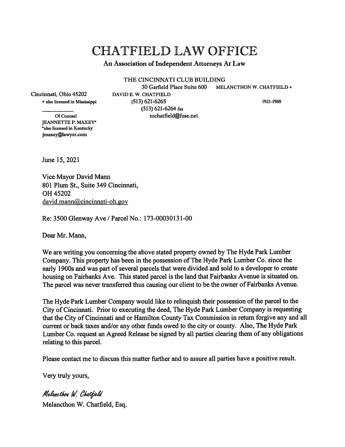## **CHATFIELD LAW OFFICE**

## An Association of Independent Attorneys At Law

THE CINCINNATI CLUB BUILDING

30 Garfield Place Suite 600 MELANCTHON W. CHATFIELD +

Cincinnati, Ohio 45202 DAVID E. W. CHATFIELD

+ also licensed in Mississippi (513)621-6265 1921-1988 (513) 621-6264 fax Of Counsel mchatfield@fuse.net

JEANNETTE P. MAXEY\* \*al80 licensed in Kentucky jmaxey@lawyer.com

June 15, 2021

Vice Mayor David Mann 801 Plum St., Suite 349 Cincinnati, OH 45202 david.mann@cincinnati-oh.gov

Re: 3500 Glenway Ave / Parcel No.: 173-00030131-00

Dear Mr. Mann,

We are writing you concerning the above stated property owned by The Hyde Park Lumber Company. This property has been in the possession of The Hyde Park Lumber Co. since the early 1900s and was part of several parcels that were divided and sold to a developer to create housing on Fairbanks Ave. This stated parcel is the land that Fairbanks Avenue is situated on. The parcel was never transferred thus causing our client to be the owner of Fairbanks Avenue.

The Hyde Park Lumber Company would like to relinquish their possession of the parcel to the City of Cincinnati. Prior to executing the deed. The Hyde Park Lumber Company is requesting that the City of Cincinnati and or Hamilton County Tax Commission in return forgive any and all current or back taxes and/or any other funds owed to the city or county. Also, The Hyde Park Lumber Co. request an Agreed Release be signed by all parties clearing them of any obligations relating to this parcel.

Please contact me to discuss this matter further and to assure all parties have a positive result.

Very truly yours,

Melancthon W. Chatfield Melancthon W. Chatfield, Esq.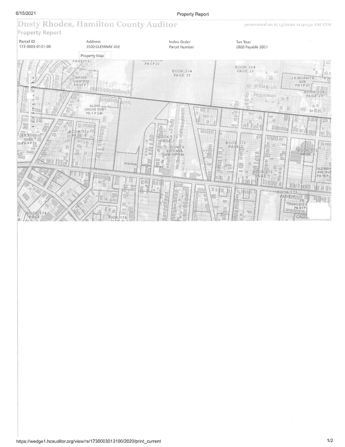## 6/15/2021

Property Report